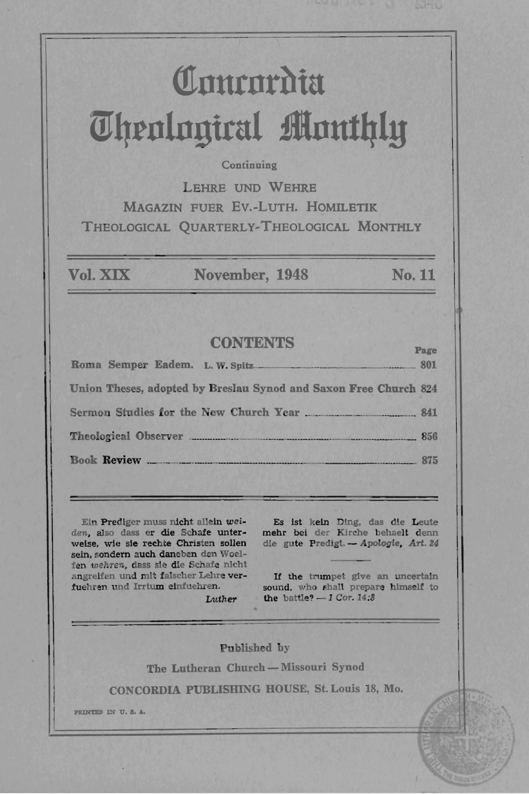# Comrordia **UJl1rnlngirul flnut4ly**

#### **Continuing**

LEHRE UND WEHRE MAGAZIN FUER EV.-LuTH. HOMILETIK THEOLOGICAL QUARTERLY-THEOLOGICAL MONTHLY

Vol. XIX November, 1948 No. 11

# CONTENTS Page

| Union Theses, adopted by Breslau Synod and Saxon Free Church 824 |  |
|------------------------------------------------------------------|--|
|                                                                  |  |
| Theological Observer 256                                         |  |
| Book Review 275                                                  |  |

Eln Predlger muss nicht alleln *wei*den, also dass er die Schafe unterweise. wie sie rechte Christen sollen sein, sondern auch daneben den Woelfen *wehren*, dass sie die Schafe nicht angreifen und mit falscher Lehre verfuehren und Irrtum einfuehren.

Es 1st keln Ding. das die Leute mehr bel der K1rche behaelt denn die gute Predigt. - Apologie, Art. 24

If the trumpet give an uncertain sound, who shall prepare himself to the battle?  $-1$  Cor. 14:8

Luther

Published by

The Lutheran Church - Missouri Synod

CONCORDIA PUBLISHING HOUSE, St. Louis 18, Mo.

**PR.IN'DD I:l "0'. S. A.**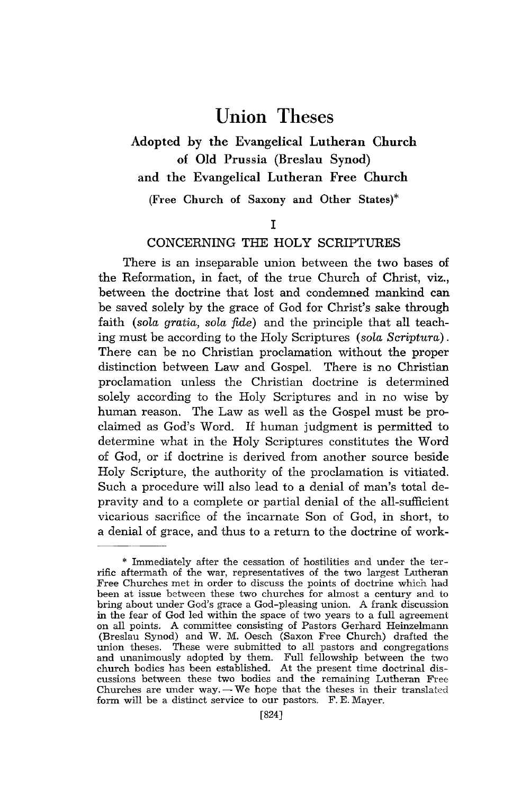# **Union** Theses

# Adopted by the Evangelical Lutheran Church of Old Prussia (Breslau Synod) and the Evangelical Lutheran Free Church

(Free Church of Saxony and Other States)\*

#### I

#### CONCERNING THE HOLY SCRIPTURES

There is an inseparable union between the two bases of the Reformation, in fact, of the true Church of Christ, viz., between the doctrine that lost and condemned mankind can be saved solely by the grace of God for Christ's sake through faith *(sola gratia, sola fide)* and the principle that all teaching must be according *to* the Holy Scriptures *(sola Scriptura).*  There can be no Christian proclamation without the proper distinction between Law and Gospel. There is no Christian proclamation unless the Christian doctrine is determined solely according to the Holy Scriptures and in no wise by human reason. The Law as well as the Gospel must be proclaimed as God's Word. If human judgment is permitted to determine what in the Holy Scriptures constitutes the Word of God, or if doctrine is derived from another source beside Holy Scripture, the authority of the proclamation is vitiated. Such a procedure will also lead to a denial of man's total depravity and to a complete or partial denial of the all-sufficient vicarious sacrifice of the 'incarnate Son of God, in short, to a denial of grace, and thus to a return to the doctrine of work-

<sup>\*</sup> Immediately after the cessation of hostilities and under the terrific aftermath of the war, representatives of the two largest Lutheran Free Churches met in order to discuss the points of doctrine which had been at issue between these two churches for almost a century and to bring about under God's grace a God-pleasing union. A frank discussion in the fear of God led within the space of two years to a full agreement on all points. A committee consisting of Pastors Gerhard Heinzelmann (Breslau Synod) and W. M. Oesch (Saxon Free Church) drafted the union theses. These were submitted to all pastors and congregations and unanimously adopted by them. Full fellowship between the two church bodies has been established. At the present time doctrinal discussions between these two bodies and the remaining Lutheran Free Churches are under way. $-$ We hope that the theses in their translated form will be a distinct service to our pastors. F. E. Mayer.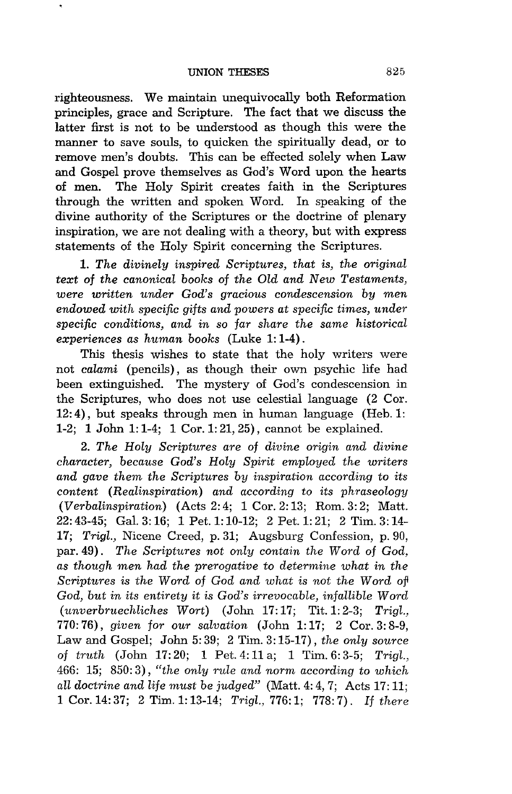righteousness. We maintain unequivocally both Reformation principles, grace and Scripture. The fact that we discuss the latter first is not to be understood as though this were the manner to save souls, to quicken the spiritually dead, or to remove men's doubts. This can be effected solely when Law and Gospel prove themselves as God's Word upon the hearts of men. The Holy Spirit creates faith in the Scriptures through the written and spoken Word. In speaking of the divine authority of the Scriptures or the doctrine of plenary inspiration, we are not dealing with a theory, but with express statements of the Holy Spirit concerning the Scriptures.

*1. The divinely inspired Scriptures, that is, the original text* of *the canonical books of the Old and New Testaments, were written under God's gracious condescension by men endowed with specific gifts and powers at specific times, under specific conditions, and in so far share the same historical experiences as human books* (Luke 1: 1-4) .

This thesis wishes to state that the holy writers were not *calami* (pencils), as though their own psychic life had been extinguished. The mystery of God's condescension in the Scriptures, who does not use celestial language (2 Cor.  $12: 4$ ), but speaks through men in human language (Heb. 1: 1-2; 1 John 1: 1-4; 1 Cor. 1: 21,25), cannot be explained.

*2. The Holy Scriptures are* of *divine origin and divine character, because God's Holy Spirit employed the writers and gave them the Scriptures by inspiration according* to *its content (Realinspiration) and according* to *its phraseology (Verbalinspiration)* (Acts 2: 4; 1 Cor. 2: 13; Rom. 3: 2; Matt. 22: 43-45; Gal. 3: 16; 1 Pet. 1: 10-12; 2 Pet. 1: 21; 2 Tim. 3: 14- *17; Trigl.,* Nicene Creed, p. 31; Augsburg Confession, p. 90, par. 49) . *The Scriptures not only contain the Word* of *God, as though men had the prerogative* to *determine what in the Scriptures is the Word* of *God and what is not the Word of God, but in its entirety* it *is God's irrevocable, infallible Word (unverbruechliches Wort)* (John 17: 17; Tit. 1: 2-3; *Trigl.,*  770: 76), *given for our salvation* (John 1: 17; 2 Cor. 3: 8-9, Law and Gospel; John 5: 39; 2 Tim. 3: 15-17), *the only source*  of *tmth* (John 17: 20; 1 Pet. 4: 11 a; 1 Tim. 6: 3-5; *Trigl.,*  466: 15; 850: 3), *"the only rule and norm according to which*  all doctrine and life must be judged" (Matt. 4: 4, 7; Acts 17: 11; 1 Cor. 14: 37; 2 Tim. 1: 13-14; *Trigl.*, 776: 1; 778: 7). If there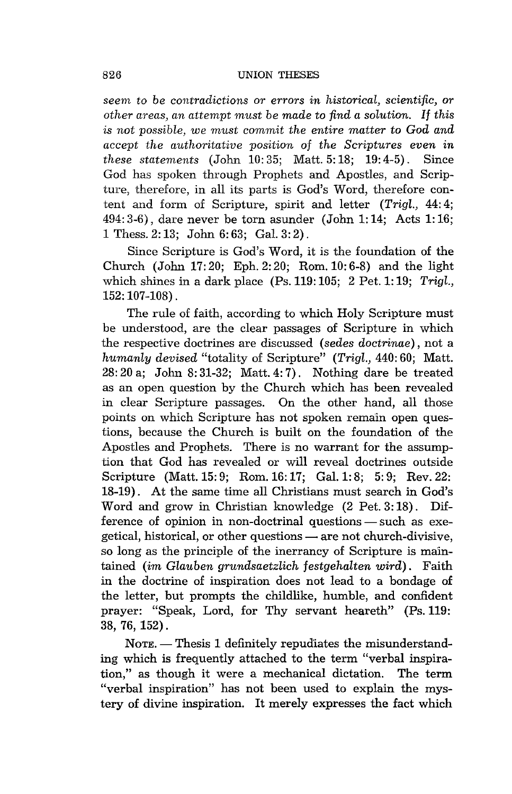*seem* to *be contradictions or errors in historical, scientific, or other areas, an attempt must be made* to *find a solution. If this*  is *not possible, we must commit the entire matter* to *God and accept the authoritative position* of *th.e Scriptures even in these statements* (John 10: 35; Matt. 5: 18; 19: 4-5). Since God has spoken through Prophets and Apostles, and Scripture, therefore, in all its parts is God's Word, therefore content and form of Scripture, spirit and letter *(Trigl.,* 44: 4;  $494:3-6$ , dare never be torn asunder (John 1:14; Acts 1:16; 1 Thess. 2: 13; John 6: 63; Gal. 3: 2) .

Since Scripture is God's Word, it is the foundation of the Church (John 17:20; Eph.2:20; Rom.10:6-8) and the light which shines in a dark place (Ps. 119: 105; 2 Pet. 1: 19; *Trigl.,*  152: 107-108) .

The rule of faith, according to which Holy Scripture must be understood, are the clear passages of Scripture in which the respective doctrines are discussed *(sedes doctrinae)* , not a *humanly devised* "totality of Scripture" *(Trigl.,* 440: 60; Matt. 28: 20 a; John 8: 31-32; Matt. 4: 7). Nothing dare be treated as an open question by the Church which has been revealed in clear Scripture passages. On the other hand, all those points on which Scripture has not spoken remain open questions, because the Church is built on the foundation of the Apostles and Prophets. There is no warrant for the assumption that God has revealed or will reveal doctrines outside Scripture (Matt. 15: 9; Rom. 16: 17; Gal. 1: 8; 5: 9; Rev. 22: 18-19) . At the same time all Christians must search in God's Word and grow in Christian knowledge (2 Pet. 3:18). Difference of opinion in non-doctrinal questions — such as exegetical, historical, or other questions — are not church-divisive, so long as the principle of the inerrancy of Scripture is maintained *(im Glauben grundsaetzlich festgehalten wird)* . Faith in the doctrine of inspiration does not lead to a bondage of the letter, but prompts the childlike, humble, and confident prayer: "Speak, Lord, for Thy servant heareth" (Ps. 119: 38, 76, 152).

NOTE. - Thesis 1 definitely repudiates the misunderstanding which is frequently attached to the term "verbal inspiration," as though it were a mechanical dictation. The term "verbal inspiration" has not been used to explain the mystery of divine inspiration. It merely expresses the fact which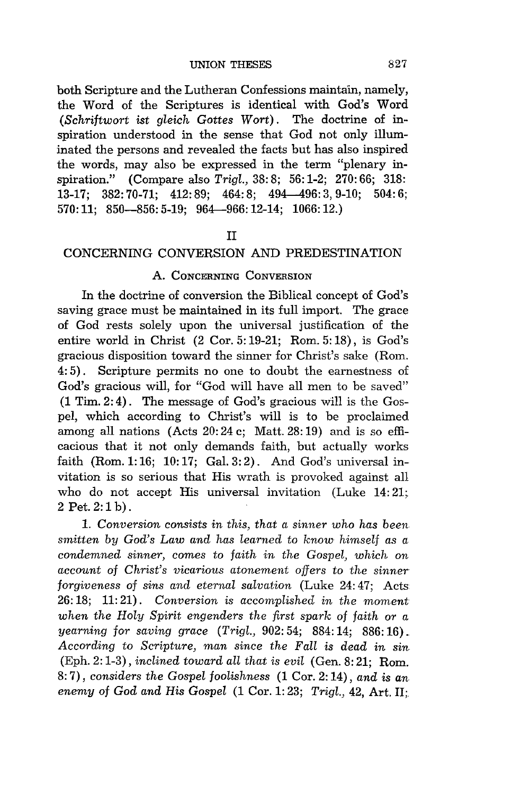both Scripture and the Lutheran Confessions maintain, namely, the Word of the Scriptures is identical with God's Word *(Schriftwort ist gleich Gottes Wort).* The doctrine of inspiration understood in the sense that God not only illuminated the persons and revealed the facts but has also inspired the words, may also be expressed in the term "plenary inspiration." (Compare also *Trigl.,* 38: 8; 56: 1-2; 270: 66; 318: 13-17; 382: 70-71; 412: 89; 464: 8; 494-496: 3,9-10; 504: 6; 570: 11; 850-856: 5-19; 964-966: 12-14; 1066: 12.)

#### II

# CONCERNING CONVERSION AND PREDESTINATION

## A. CONCERNING CONVERSION

In the doctrine of conversion the Biblical concept of God's saving grace must be maintained in its full import. The grace of God rests solely upon the universal justification of the entire world in Christ (2 Cor. 5: 19-21; Rom. 5: 18), is God's gracious disposition toward the sinner for Christ's sake (Rom. 4: 5) . Scripture permits no one to doubt the earnestness of God's gracious will, for "God will have all men to be saved" (1 Tim. 2: 4). The message of God's gracious will is the Gospel, which according to Christ's will is to be proclaimed among all nations (Acts 20: 24 c; Matt. 28: 19) and is so efficacious that it not only demands faith, but actually works faith (Rom. 1: 16; 10: 17; Gal. 3: 2). And God's universal invitation is so serious that His wrath is provoked against all who do not accept His universal invitation (Luke 14:21; 2Pet.2:1b).

*1. Conversion consists in this, that a sinner who has been smitten by God's Law and has learned to know himself as a condemned sinner, comes to faith in the Gospel, which on account* of *Christ's vicarious atonement offers to the sinner forgiveness* of *sins and eternal salvation* (Luke 24: 47; Acts 26: 18; 11: 21) . *Conversion is accomplished in the moment when the Holy Spirit engenders the first spark* of *faith or a yearning for saving grace (Trigl.,* 902: 54; 884: 14; 886: 16) . *According* to *Scripture, man since the Fall is dead in sin*  (Eph. 2: 1-3), *inclined toward all that is evil* (Gen. 8: 21; Rom. 8: 7), *considers the Gospel foolishness* (1 Cor. 2: 14), *and is an enemy of God and His Gospel* (1 Cor. 1:23; *Trigl., 42, Art. II:*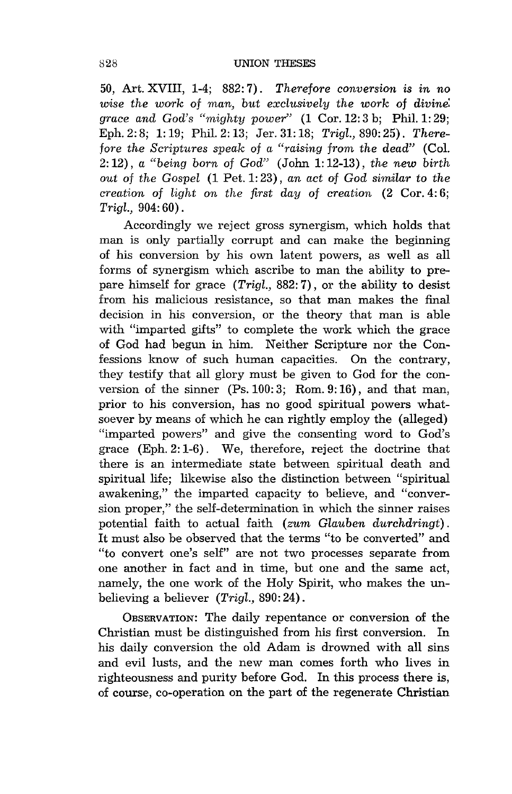50, Art. XVIII, 1-4; 882: 7). *Therefore conversion* is *in no wise the work* of *man, but exclusively the work* of *divine: grace and God's "mighty power"* (1 Cor. 12: 3 b; Phil. 1: 29; Eph. 2: 8; 1: 19; Phil. 2: 13; Jer. 31: 18; *Trigl.,* 890: 25). *Therefore the Scriptures speak of a "raising from the dead"* (Col. 2: 12), *a "being born* of *God"* (John 1: 12-13), *the new birth out* of *the Gospel* (1 Pet. 1: 23), *an act* of *God similar* to *the creation* of *light on the first day* of *creation* (2 Cor. 4: 6; *Trigl.,* 904: 60).

Accordingly we reject gross synergism, which holds that man is only partially corrupt and can make the beginning of his conversion by his own latent powers, as well as all forms of synergism which ascribe to man the ability to prepare himself for grace *(Trigl.,* 882: 7), or the ability to desist from his malicious resistance, so that man makes the final decision in his conversion, or the theory that man is able with "imparted gifts" to complete the work which the grace of God had begun in him. Neither Scripture nor the Confessions know of such human capacities. On the contrary, they testify that all glory must be given to God for the conversion of the sinner (Ps. 100: 3; Rom. 9: 16), and that man, prior to his conversion, has no good spiritual powers whatsoever by means of which he can rightly employ the (alleged) "imparted powers" and give the consenting word to God's grace (Eph. 2: 1-6). We, therefore, reject the doctrine that there is an intermediate state between spiritual death and spiritual life; likewise also the distinction between "spiritual awakening," the imparted capacity to believe, and "conversion proper," the self-determination in which the sinner raises potential faith to actual faith *(zum Glauben durchdringt).*  It must also be observed that the terms "to be converted" and "to convert one's self" are not two processes separate from one another in fact and in time, but one and the same act, namely, the one work of the Holy Spirit, who makes the unbelieving a believer *(Trigl.,* 890: 24).

OBSERVATION: The daily repentance or conversion of the Christian must be distinguished from his first conversion. In his daily conversion the old Adam is drowned with all sins and evil lusts, and the new man comes forth who lives in righteousness and purity before God. In this process there is, of course, co-operation on the part of the regenerate Christian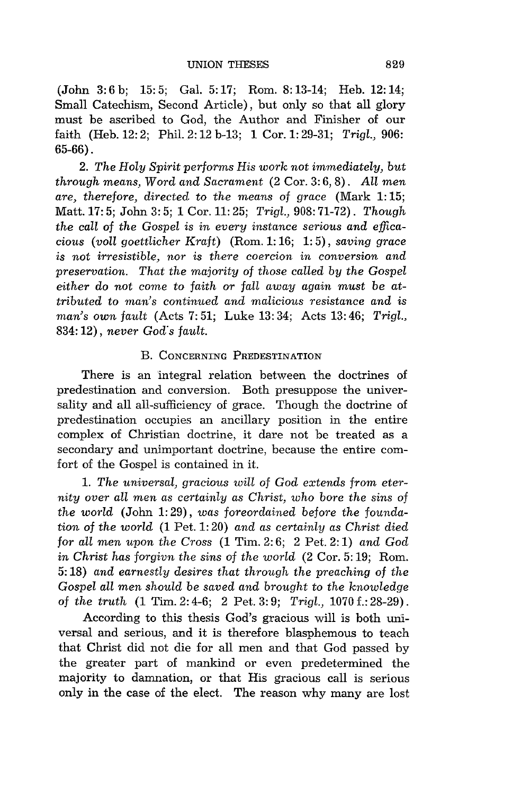(John 3:6b; 15:5; Gal. 5:17; Rom. 8:13-14; Heb.12:14; Small Catechism, Second Article), but only so that all glory must be ascribed to God, the Author and Finisher of our faith (Heb. 12: 2; Phil. 2: 12 b-13; 1 Cor. 1: 29-31; *Trigl., 906:*  65-66) .

*2. The Holy Spirit performs His work not immediately, but th.rough means, Word and Sacrament* (2 Cor. 3: 6, 8). *ALL men are, therefore, directed* to *the means* of *grace* (Mark 1: 15; Matt. 17: 5; John 3: 5; 1 Cor. 11: 25; *Trigl.*, 908: 71-72). *Though the call* of *the Gospel is in every instance serious and efficacious (voll goettlicher Kraft)* (Rom. 1: 16; 1: 5), *saving grace is not irresistible, nor is there coercion in conversion and preservation. That the majority* of *those called by the Gospel either do not come* to *faith or fall away again must be attributed* to *man's continued and malicious resistance and* is *man's own fault* (Acts 7: 51; Luke 13: 34; Acts 13: 46; *Trigl.,*  834: 12), *never God's fault.* 

#### B. CONCERNING PREDESTINATION

There is an 'integral relation between the doctrines of predestination and conversion. Both presuppose the universality and all all-sufficiency of grace. Though the doctrine of predestination occupies an ancillary position in the entire complex of Christian doctrine, it dare not be treated as a secondary and unimportant doctrine, because the entire comfort of the Gospel is contained in it.

1. The universal, gracious will of God extends from eter*nity over all men as certainly as Christ, who bore the sins* of *the world* (John 1: 29), *was foreordained before the foundation* of *the world* (1 Pet. 1: 20) *and as certainly as Christ died for all men upon the Cross* (1 Tim. 2: 6; 2 Pet. 2: 1) *and God in Christ has forgivn the sins* of *the world* (2 Cor. 5: 19; Rom. 5: 18) *and earnestly desires that through the preaching* of *the Gospel all men should* be *saved and brought* to *the knowledge*  of *the truth* (1 Tim. 2: 4-6; 2 Pet. 3: 9; *Trigl.,* 1070 f.: 28-29).

According to this thesis God's gracious will is both universal and serious, and it is therefore blasphemous to teach that Christ did not die for all men and that God passed by the greater part of mankind or even predetermined the majority to damnation, or that His gracious call is serious only in the case of the elect. The reason why many are lost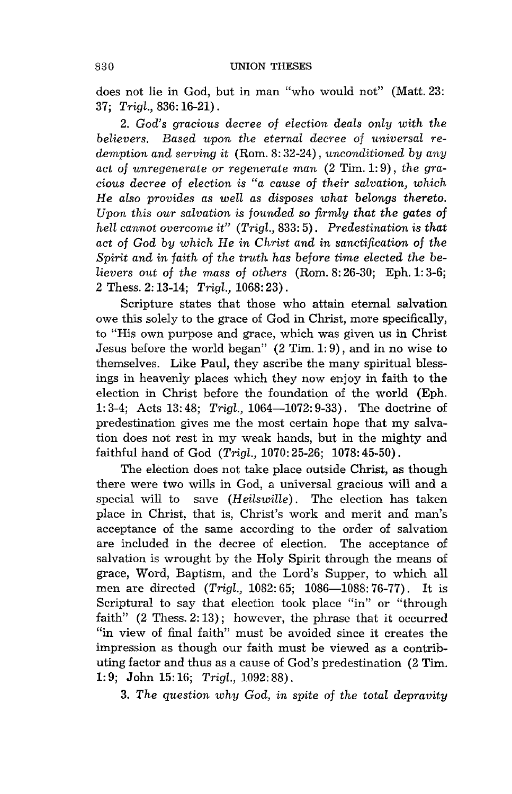does not lie in God, but in man "who would not" (Matt. 23: *37; Trigl.,* 836: 16-21).

*2. God's gracious decree* of *election deals only with the believers. Based upon the eternal decree* of *universal redemption and serving* it (Rom. 8: 32-24), *unconditioned by any act* of *unregenerate or regenerate man* (2 Tim. 1: 9), *the gracious decree* of *election is "a cause* of *their salvation, which*  He *also provides as well as disposes what belongs thereto. Upon this our salvation is founded* so *firmly that the gates* of *hell cannot overcome it" (Trigl.,* 833: 5). *Predestination is that act* of *God by which* He *in Christ and in sanctification* of *the Spirit and in faith* of *the truth has before time elected the believers out* of *the mass* of *others* (Rom. 8: 26-30; Eph.l: 3-6; 2 Thess. 2: 13-14; *Trigl.,* 1068: 23).

Scripture states that those who attain eternal salvation owe this solely to the grace of God in Christ, more specifically, to "His own purpose and grace, which was given us in Christ Jesus before the world began" (2 Tim. 1: 9), and in no wise to themselves. Like Paul, they ascribe the many spiritual blessings in heavenly places which they now enjoy in faith to the election in Christ before the foundation of the world (Eph. 1: 3-4; Acts 13: 48; *Trigl.,* 1064-1072: 9-33). The doctrine of predestination gives me the most certain hope that my salvation does not rest in my weak hands, but in the mighty and faithful hand of God *(Trigl.,* 1070: 25-26; 1078: 45-50).

The election does not take place outside Christ, as though there were two wills in God, a universal gracious will and a special will to save *(Heilswille).* The election has taken place in Christ, that is, Christ's work and merit and man's acceptance of the same according to the order of salvation are included in the decree of election. The acceptance of salvation is wrought by the Holy Spirit through the means of grace, Word, Baptism, and the Lord's Supper, to which all men are directed *(Trigl., 1082: 65; 1086-1088: 76-77)*. It is Scriptural to say that election took place "in" or "through faith"  $(2$  Thess.  $2:13)$ ; however, the phrase that it occurred "in view of final faith" must be avoided since it creates the impression as though our faith must be viewed as a contributing factor and thus as a cause of God's predestination (2 Tim. 1: 9; John 15: 16; *Trigl.,* 1092: 88).

*3. The question why God, in spite* of *the total depravity*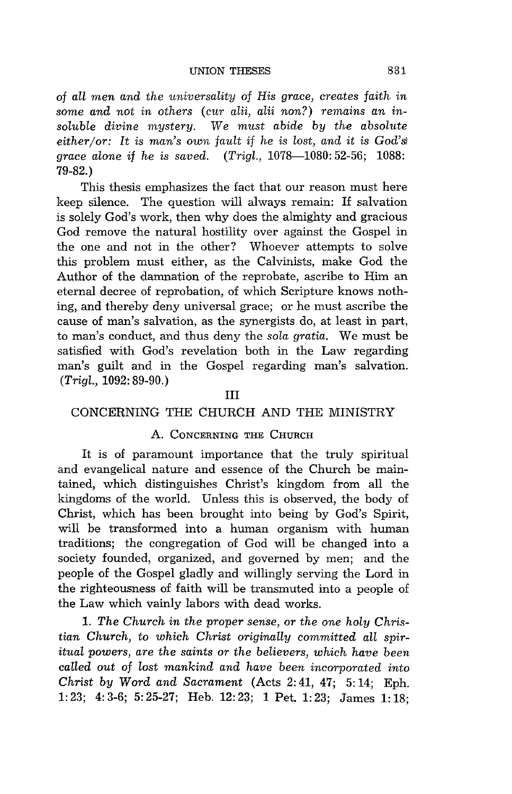of *all men and the universality* of *His grace, creates faith in some and not in others (cur alii, alii non?) remains an insoluble divine mystery.* We *must abide by the absolute either/or:* It is *man's own fault* if *he* is *lost, and it* is *God's) grace alone* if *he* is *saved. (Trigl.,* 1078-1080: 52-56; 1088: 79-82.)

This thesis emphasizes the fact that our reason must here keep silence. The question will always remain: If salvation is solely God's work, then why does the almighty and gracious God remove the natural hostility over against the Gospel in the one and not in the other? Whoever attempts to solve this problem must either, as the Calvinists, make God the Author of the damnation of the reprobate, ascribe to Him an eternal decree of reprobation, of which Scripture knows nothing, and thereby deny universal grace; or he must ascribe the cause of man's salvation, as the synergists do, at least in part, to man's conduct, and thus deny the *sola gratia.* We must be satisfied with God's revelation both in the Law regarding man's guilt and in the Gospel regarding man's salvation. *(Trigl.,* 1092: 89-90.)

#### III

#### CONCERNING THE CHURCH AND THE MINISTRY

### A. CONCERNING THE CHURCH

It is of paramount importance that the truly spiritual and evangelical nature and essence of the Church be maintained, which distinguishes Christ's kingdom from all the kingdoms of the world. Unless this is observed, the body of Christ, which has been brought into being by God's Spirit, will be transformed into a human organism with human traditions; the congregation of God will be changed into a society founded, organized, and governed by men; and the people of the Gospel gladly and willingly serving the Lord in the righteousness of faith will be transmuted into a people of the Law which vainly labors with dead works.

*1. The Church in the proper sense, or the one holy Christian Church,* to *which Christ originally committed all spiritual powers, are the saints or the believers, which have been called out* of *lost mankind and have been incorporated into Christ by Word and Sacrament* (Acts 2:41, 47; 5:14; Eph. 1: 23; 4: 3-6; 5: 25-27; Heb. 12: 23; 1 Pet. 1: 23; James 1: 18;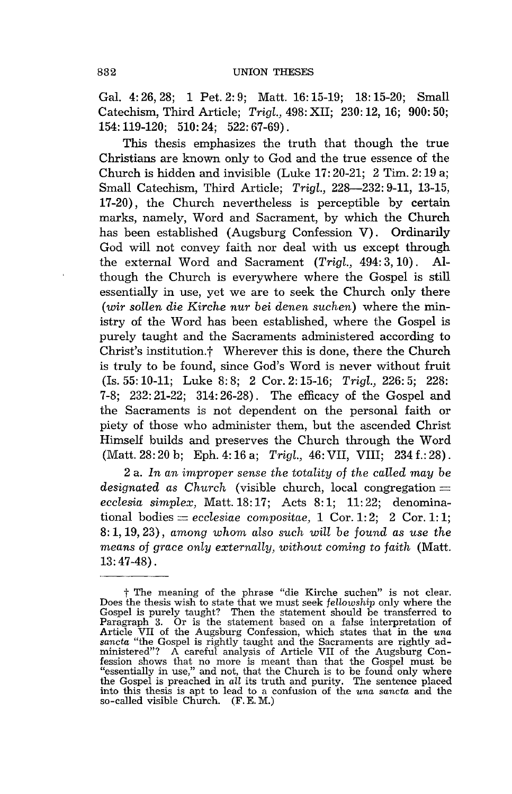Gal. 4: 26, 28; 1 Pet. 2: 9; Matt. 16: 15-19; 18: 15-20; Small Catechism, Third Article; *Trigl.,* 498: XII; 230: 12, 16; 900: 50; 154: 119-120; 510: 24; 522: 67-69) .

This thesis emphasizes the truth that though the true Christians are known only to God and the true essence of the Church is hidden and invisible (Luke 17: 20-21; 2 Tim. 2: 19 a; Small Catechism, Third Article; *Trigl.*, 228-232: 9-11, 13-15, 17-20), the Church nevertheless is perceptible by certain marks, namely, Word and Sacrament, by which the Church has been established (Augsburg Confession V). Ordinarily God will not convey faith nor deal with us except through the external Word and Sacrament *(Trigl.,* 494: 3, 10) . Although the Church is everywhere where the Gospel is still essentially in use, yet we are to seek the Church only there *(wir sollen die Kirche nur bei denen suchen)* where the ministry of the Word has been established, where the Gospel is purely taught and the Sacraments administered according to Christ's institution.<sup>†</sup> Wherever this is done, there the Church is truly to be found, since God's Word is never without fruit (Is. 55: 10-11; Luke 8: 8; 2 Cor. 2: 15-16; *Trigl.,* 226: 5; 228: 7-8; 232: 21-22; 314: 26-28). The efficacy of the Gospel and the Sacraments is not dependent on the personal faith or piety of those who administer them, but the ascended Christ Himself builds and preserves the Church through the Word (Matt. 28: 20 b; Eph. 4: 16 a; *Trigl.,* 46: VII, VIII; 234 f.: 28).

2 a. *In an improper sense the totality* of *the called may* be *designated as Church* (visible church, local congregation = *ecclesia simplex,* Matt. 18: 17; Acts 8: 1; 11: 22; denominational bodies  $=$  *ecclesiae* compositae, 1 Cor. 1:2; 2 Cor. 1:1; 8: 1, 19, 23), *among whom also such will* be *found as use the means* of *grace only externally, without coming* to *faith* (Matt. 13: 47-48).

t The meaning of the phrase "die Kirche suchen" is not clear. Does the thesis wish to state that we must seek *fellowship* only where the Gospel is purely taught? Then the statement should be transferred to Paragraph 3. Or is the statement based on a false interpretation of Article VII of the Augsburg Confession, which states that in the *una* state state fession shows that no more is meant than that the Gospel must be "essentially in use," and not, that the Church is to be found only where the Gospel is preached in *all* its truth and purity. The sentence placed into this thesis is apt to lead to a confusion of the *una sancta* and the so-called visible Church. (F. E. M.)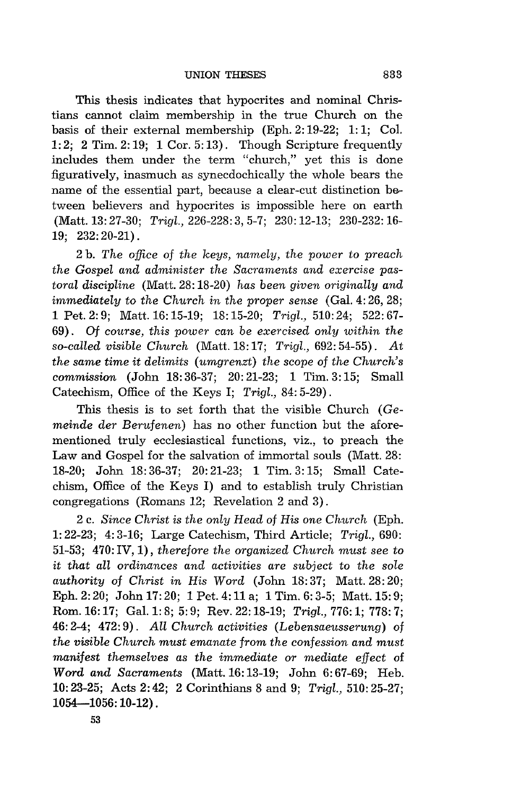This thesis indicates that hypocrites and nominal Christians cannot claim membership in the true Church on the basis of their external membership (Eph. 2: 19-22; 1: 1; Col. 1: 2; 2 Tim. 2: 19; 1 Cor. 5: 13). Though Scripture frequently includes them under the term "church," yet this is done figuratively, inasmuch as synecdochically the whole bears the name of the essential part, because a clear-cut distinction between believers and hypocrites is impossible here on earth (Matt. 13:27-30; *Trigl.,* 226-228:3,5-7; 230:12-13; 230-232:16- 19; 232: 20-21).

2 b. *The office* of *the keys, namely, the power* to *preach the Gospel and administer the Sacraments and exercise pastoral discipline* (Matt. 28: 18-20) *has been given originally and immediately to the Church in the proper sense* (Gal. 4:26, 28; 1 Pet. 2: 9; Matt. 16: 15-19; 18: 15-20; *Trigl.,* 510: 24; 522: 67- 69). Of *course, this power can* be *exercised only within the so-called visible Church* (Matt. 18: 17; *Trigl.,* 692: 54-55). *At the same time* it *delimits (umgrenzt) the scope* of *the Church's commission* (John 18: 36-37; 20: 21-23; 1 Tim. 3: 15; Small Catechism, Office of the Keys I; *Trigl.,* 84: 5-29) .

This thesis is to set forth that the visible Church (Ge*meinde der Berufenen)* has no other function but the aforementioned truly ecclesiastical functions, viz., to preach the Law and Gospel for the salvation of immortal souls (Matt. 28: 18-20; John 18: 36-37; 20: 21-23; 1 Tim. 3: 15; Small Catechism, Office of the Keys I) and to establish truly Christian congregations (Romans 12; Revelation 2 and 3).

2 c. *Since Christ* is *the only Head* of *His one Church* (Eph. 1: 22-23; 4: 3-16; Large Catechism, Third Article; *Trigl., 690:*  51-53; 470: IV, 1), *therefore the organized Church must see* to it *that all ordinances and activities are subject* to *the sole authority* of *Christ in His Word* (John 18:37; Matt. 28:20; Eph. 2: 20; John 17: 20; 1 Pet. 4: 11 a; 1 Tim. 6: 3-5; Matt. 15: 9; Rom. 16: 17; Gal.l: 8; 5: 9; Rev. 22: 18-19; *Trigl.,* 776: 1; 778: 7; 46: 2-4; 472: 9). *All Church activities (Lebensaeusserung)* of *the visible Church must emanate from the confession and must manifest themselves as the immediate or mediate effect* of *Word and Sacraments* (Matt. 16:13-19; John 6:67-69; Heb. **10:** 23-25; Acts 2: 42; 2 Corinthians 8 and 9; *Trigl.,* 510: 25-27;  $1054 - 1056$ : 10-12).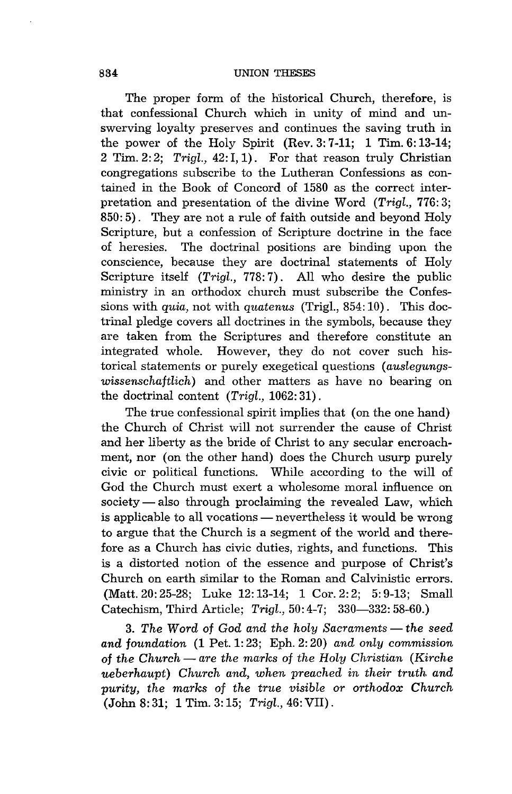The proper form of the historical Church, therefore, is that confessional Church which in unity of mind and unswerving loyalty preserves and continues the saving truth in the power of the Holy Spirit (Rev.  $3: 7-11$ ; 1 Tim.  $6: 13-14$ ; 2 Tim. 2: 2; *Trigl.,* 42: I, 1). For that reason truly Christian congregations subscribe to the Lutheran Confessions as contained in the Book of Concord of 1580 as the correct interpretation and presentation of the divine Word *(Trigl.,* 776: 3; 850: 5). They are not a rule of faith outside and beyond Holy Scripture, but a confession of Scripture doctrine in the face of heresies. The doctrinal positions are binding upon the conscience, because they are doctrinal statements of Holy Scripture itself *(Trigl.,* 778: 7) . All who desire the public ministry in an orthodox church must subscribe the Confessions with *quia,* not with *quatenus* (Trigl., 854: 10). This doctrinal pledge covers all doctrines in the symbols, because they are taken from the Scriptures and therefore constitute an integrated whole. However, they do not cover such historical statements or purely exegetical questions *(auslegungswissenschaftlich)* and other matters as have no bearing on the doctrinal content *(Trigl.,* 1062: 31).

The true confessional spirit implies that (on the one hand) the Church of Christ will not surrender the cause of Christ and her liberty as the bride of Christ to any secular encroachment, nor (on the other hand) does the Church usurp purely civic or political functions. While according to the will of God the Church must exert a wholesome moral influence on  $society - also through proclaiming the revealed Law, which$ is applicable to all vocations — nevertheless it would be wrong to argue that the Church is a segment of the world and therefore as a Church has civic duties, rights, and functions. This is a distorted notion of the essence and purpose of Christ's Church on earth similar to the Roman and Calvinistic errors. (Matt. 20: 25-28; Luke 12: 13-14; 1 Cor. 2: 2; 5: 9-13; Small Catechism, Third Article; *Trigl.,50:4-7;* 330-332: 58-60.)

3. The Word of God and the holy Sacraments — the seed *and foundation* (1 Pet. 1: 23; Eph. 2: 20) *and only commission*  of *the Church* - *are the marks* of *the Holy Christian (Kirche ueberhaupt) Church and, when preached in their truth and purity, the marks* of *the true visible or orthodox Church*  (John 8: 31; 1 Tim. 3: 15; *Trigl.,* 46: VII) .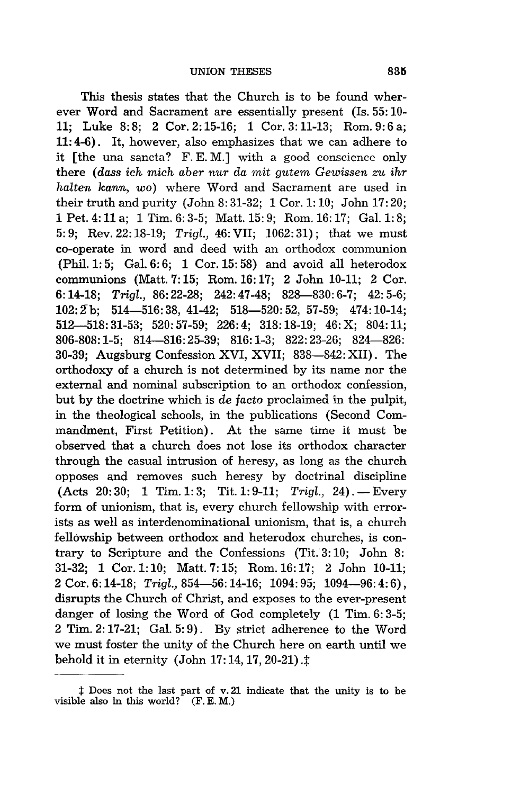This thesis states that the Church is to be found wherever Word and Sacrament are essentially present (Is. 55: lOll; Luke 8: 8; 2 Cor. 2: 15-16; 1 Cor. 3: 11-13; Rom. 9: 6 a; 11: 4-6). It, however, also emphasizes that we can adhere to it [the una sancta? F. E. M.] with a good conscience only there *(dass ich mich aber nur da mit gutem Gewissen zu ihr halten kann, wo)* where Word and Sacrament are used in their truth and purity (John 8: 31-32; 1 Cor. 1: 10; John 17: 20; 1 Pet. 4: 11 a; 1 Tim. 6: 3-5; Matt. 15: 9; Rom. 16: 17; Gal. 1: 8; 5: 9; Rev. 22: 18-19; *Trigl.,* 46: VII; 1062: 31); that we must co-operate in word and deed with an orthodox communion (Phil. 1: 5; Gal. 6: 6; 1 Cor. 15: 58) and avoid all heterodox communions (Matt. 7: 15; Rom. 16: 17; 2 John 10-11; 2 Cor. *6:14-18; Trigl.,* 86:22-28; 242:47-48; 828-830:6-7; 42:5-6; *102: Zb;* 514-516: 38, 41-42; 518-520: 52, 57-59; 474: 10-14; 512-518:31-53; 520:57-59; 226:4; 318:18-19; 46:X; 804:11; 806-808: 1-5; 814-816: 25-39; 816: 1-3; 822: 23-26; 824-826: 30-39; Augsburg Confession XVI, XVII; 838-842: XII). The orthodoxy of a church is not determined by its name nor the external and nominal subscription to an orthodox confession, but by the doctrine which is *de facto* proclaimed in the pulpit, in the theological schools, in the publications (Second Commandment, First Petition). At the same time it must be observed that a church does not lose its orthodox character through the casual intrusion of heresy, as long as the church opposes and removes such heresy by doctrinal discipline (Acts 20: 30; 1 Tim. 1: 3; Tit. 1: 9-11; *Trigl.*, 24). - Every form of unionism, that is, every church fellowship with errorists as well as interdenominational unionism, that is, a church fellowship between orthodox and heterodox churches, is contrary to Scripture and the Confessions (Tit. 3: 10; John 8: 31-32; 1 Cor. 1: 10; Matt. 7: 15; Rom. 16: 17; 2 John 10-11; 2 Cor. 6: 14-18; *Trigl.,* 854-56: 14-16; 1094: 95; 1094-96: 4: 6), disrupts the Church of Christ, and exposes to the ever-present danger of losing the Word of God completely (1 Tim. 6: 3-5; 2 Tim. 2: 17-21; Gal. 5: 9). By strict adherence to the Word we must foster the unity of the Church here on earth until we behold it in eternity (John 17:14, 17, 20-21). $\ddagger$ 

 $\ddagger$  Does not the last part of v.21 indicate that the unity is to be visible also in this world? (F. E. M.)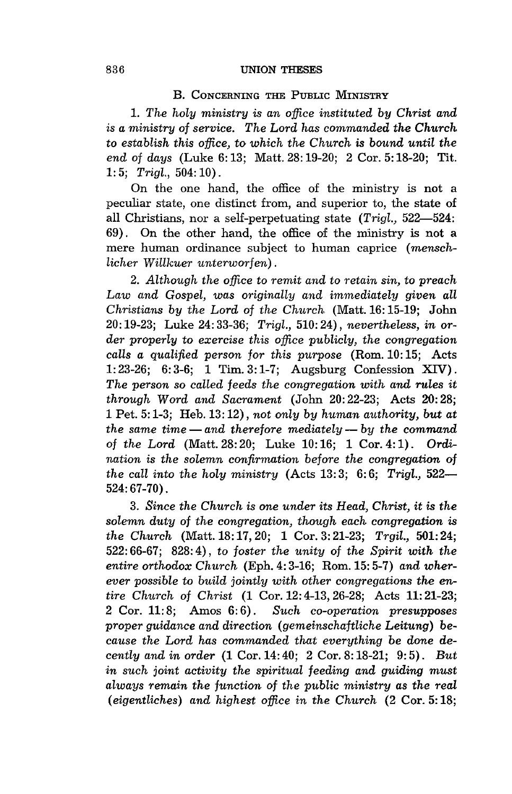#### B. CONCERNING THE PUBLIC MINISTRY

*1. The holy ministry is an office instituted by Christ and is a ministry* of *service. The Lord has commanded the Church*  to *establish this office,* to *which the Church* is *bound until the end* of *days* (Luke 6: 13; Matt. 28: 19-20; 2 Cor. 5: 18-20; Tit. 1: 5; *Trigl.,* 504: 10).

On the one hand, the office of the ministry is not a peculiar state, one distinct from, and superior to, the state of all Christians, nor a self-perpetuating state *(Trigl., 522-524:*  69). On the other hand, the office of the ministry is not a mere human ordinance subject to human caprice *(menschlicher Willkuer unterworfen).* 

*2. Although the office* to *remit and* to *retain sin,* to *preach Law and Gospel, was originally and immediately given all Christians by the Lord* of *the Church* (Matt. 16: 15-19; John 20: 19-23; Luke 24: 33-36; *Trigl.,* 510: 24), *nevertheless, in order properly* to *exercise this office publicly, the congregation calls a qualified person for this purpose* (Rom. 10:15; Acts 1:23-26; 6:3-6; 1 Tim. 3:1-7; Augsburg Confession XIV). *The person* so *called* feeds *the congregation with and rules* it *through Word and Sacrament* (John 20:22-23; Acts 20:28; 1 Pet. 5: 1-3; Heb.13: 12), *not only by human authority, but at the same time* - *and therefore mediately* - *by the command of the Lord* (Matt. 28: 20; Luke 10: 16; 1 Cor. 4: 1). *Ordination is the solemn confirmation before the congregation* of *the call into the holy ministry* (Acts 13: 3; 6: 6; *Trigl., 522-* 524: 67-70).

*3. Since the Church* is *one under its Head, Christ,* it is *the solemn duty of the congregation, though each congregation* is *the Ch.urch* (Matt. 18: 17,20; 1 Cor. 3: 21-23; *Trgil.,* **501:** 24; 522: 66-67; 828: 4), *to foster the unity of the Spirit with the entire orthodox Church* (Eph. 4: 3-16; Rom. 15: 5-7) *and wherever possible to build jointly with other congregations the entire Church of Christ* (1 Cor. 12: 4-13,26-28; Acts 11: 21-23; 2 Cor. 11: 8; Amos 6: 6). *Such co-operation presupposes proper guidance and direction (gemeinschaftliche Leitung) because the Lord has commanded that everything be done decently and in order* (1 Cor. 14: 40; 2 Cor. 8: 18-21; 9: 5). *But in such joint activity the spiritual feeding and guiding must always remain the function of the public ministry as the real (eigentliches) and highest office in the Church* (2 Cor. 5: 18;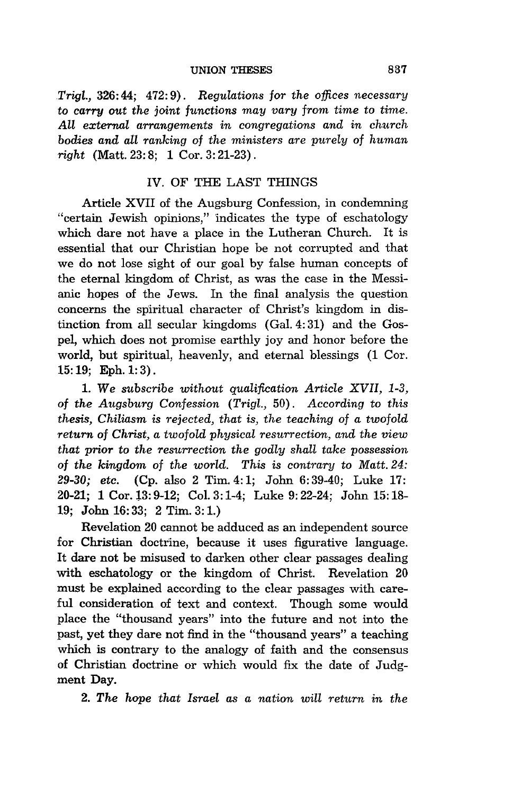*.Trigl.,* 326: 44; 472: 9). *Regulations for the offices necessary*  to *carry out the joint functions may vary from time* to *time. All external arrangements in congregations and in church bodies and all ranking of the ministers are purely* of *human right* (Matt. 23: 8; 1 Cor. 3: 21-23) .

#### IV. OF THE LAST THINGS

Article XVII of the Augsburg Confession, in condemning "certain Jewish opinions," indicates the type of eschatology which dare not have a place in the Lutheran Church. It is essential that our Christian hope be not corrupted and that we do not lose sight of our goal by false human concepts of the eternal kingdom of Christ, as was the case in the Messianic hopes of the Jews. In the final analysis the question concerns the spiritual character of Christ's kingdom in distinction from all secular kingdoms (Gal. 4: 31) and the Gospel, which does not promise earthly joy and honor before the world, but spiritual, heavenly, and eternal blessings (1 Cor.  $15:19;$  Eph.  $1:3$ ).

1. We *subscribe without qualification Article XVII, 1-3, of the Augsburg Confession (Trigl.,* 50). *According to this thesis, Chiliasm* is *rejected, that is, the teaching* of *a twofold return* of *Christ, a twofold physical resurrection, and the view that prior to the resurrection the godly shall take possession*  of the kingdom of the world. This is contrary to Matt. 24: *29-30; etc.* (Cp. also 2 Tim. 4: 1; John 6: 39-40; Luke 17: 20-21; 1 Cor. 13: 9-12; Col. 3: 1-4; Luke 9: 22-24; John 15: 18- 19; John 16: 33; 2 Tim. 3: 1.)

Revelation 20 cannot be adduced as an independent source for Christian doctrine, because it uses figurative language. It dare not be misused to darken other clear passages dealing with eschatology or the kingdom of Christ. Revelation 20 must be explained according to the clear passages with careful consideration of text and context. Though some would place the "thousand years" into the future and not into the past, yet they dare not find in the "thousand years" a teaching which is contrary to the analogy of faith and the consensus of Christian doctrine or which would fix the date of Judgment Day.

*2. The hope that Israel as a nation will return in the*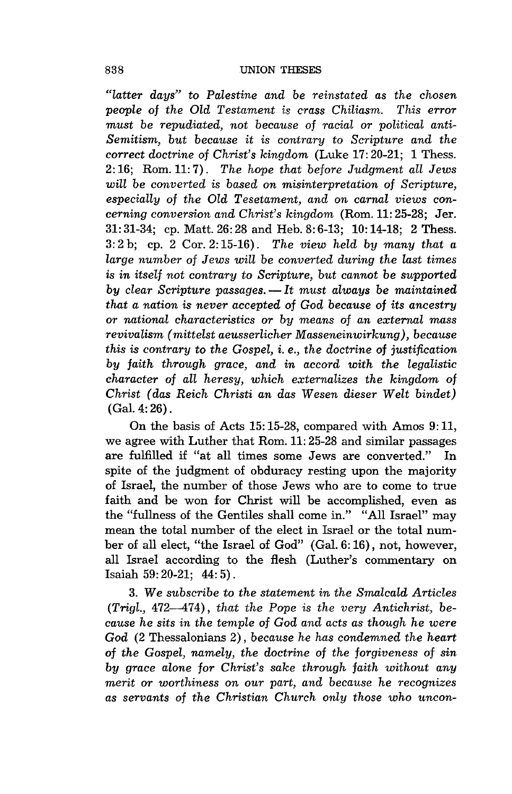*"latter days"* to *Palestine and* be *reinstated as the chosen people* of *the Old Testament* is *crass Chiliasm. This error must* be *repudiated, not because* of *racial or political anti-Semitism, but because* it is *contrary* to *Scripture and the correct doctrine* of *Christ's kingdom* (Luke 17: 20-21; 1 Thess. 2: 16; Rom. 11: 7). *The hope that before Judgment all Jews will* be *converted* is *based on misinterpretation* of *Scripture, especiaLly ot the Old Tesetament, and on carnal views concerning conversion and Christ's kingdom* (Rom. 11: 25-28; Jer.  $31:31-34$ ; cp. Matt.  $26:28$  and Heb.  $8:6-13$ ;  $10:14-18$ ; 2 Thess.  $3: 2 \text{ b}$ ; cp. 2 Cor.  $2: 15-16$ ). The view held by many that a *large number* of *Jews will* be *converted during the last times*  is *in itself not contrary* to *Scripture, but cannot* be *supported by clear Scripture passages.* - It must always be maintained *that a nation* is *never accepted ot God because* of *its ancestry or national characteristics or by means* of *an external mass revivalism (mittelst aeusserlicher Masseneinwirkung), because this* is *contrary* to *the Gospel,* i. *e., the doctrine* of *justification by faith through grace, and in accord with the legalistic character* of *all heresy, which externalizes the kingdom* of *Christ (das Reich Christi an das Wesen dieser Welt bindet)*  (Gal. 4: 26).

On the basis of Acts 15: 15-28, compared with Amos 9: 11, we agree with Luther that Rom. 11: 25-28 and similar passages are fulfilled if "at all times some Jews are converted." In spite of the judgment of obduracy resting upon the majority of Israel, the number of those Jews who are to come to true faith and be won for Christ will be accomplished, even as the "fullness of the Gentiles shall come in." "All Israel" may mean the total number of the elect in Israel or the total number of all elect, "the Israel of God" (Gal. 6: 16), not, however, all Israel according to the flesh (Luther's commentary on Isaiah 59: 20-21; 44: 5) .

3. We *subscribe* to *the statement in the Smalcald Articles (Trigl.,* 472--474), *that the Pope* is *the very Antichrist,* be*cause he sits in the temple of God and acts as though he were God* (2 Thessalonians 2), *because he has condemned the heart*  of *the Gospel, namely, the doctrine* of *the forgiveness* of *sin by grace alone for Christ's sake through faith without any merit or worthiness on our part, and because he recognizes* as servants of the Christian Church only those who uncon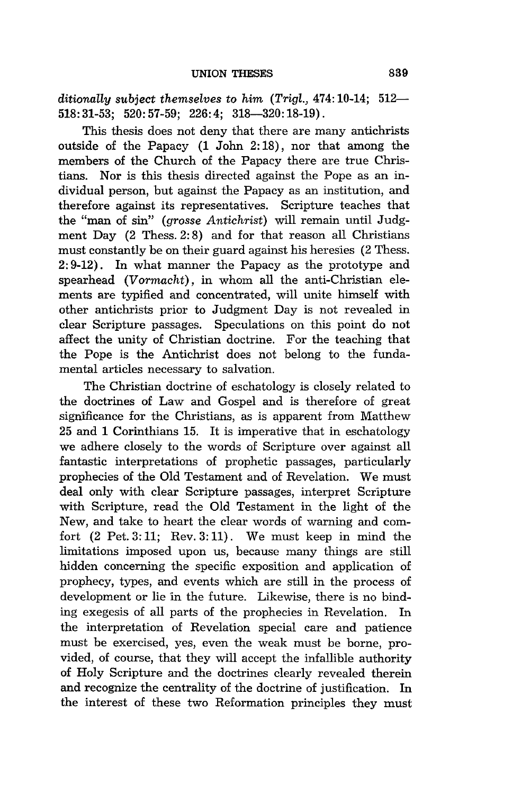*ditionally subject themselves* to *him (Trig!.,* 474: 10-14; 512- 518:31-53; 520:57-59; 226:4; 318--320:18-19).

This thesis does not deny that there are many antichrists outside of the Papacy (1 John 2: 18), nor that among the members of the Church of the Papacy there are true Christians. Nor is this thesis directed against the Pope as an individual person, but against the Papacy as an institution, and therefore against its representatives. Scripture teaches that the "man of sin" *(grosse Antichrist)* will remain until Judgment Day (2 Thess. 2: 8) and for that reason all Christians must constantly be on their guard against his heresies (2 Thess. 2: 9-12). In what manner the Papacy as the prototype and spearhead *(Vormacht),* in whom all the anti-Christian elements are typified and concentrated, will unite himself with other antichrists prior to Judgment Day is not revealed in clear Scripture passages. Speculations on this point do not affect the unity of Christian doctrine. For the teaching that the Pope is the Antichrist does not belong to the fundamental articles necessary to salvation.

The Christian doctrine of eschatology is closely related to the doctrines of Law and Gospel and is therefore of great significance for the Christians, as is apparent from Matthew 25 and 1 Corinthians 15. It is imperative that in eschatology we adhere closely to the words of Scripture over against all fantastic interpretations of prophetic passages, particularly prophecies of the Old Testament and of Revelation. We must deal only with clear Scripture passages, interpret Scripture with Scripture, read the Old Testament in the light of the New, and take to heart the clear words of warning and comfort (2 Pet. 3: 11; Rev. 3: 11) . We must keep in mind the limitations imposed upon us, because many things are still hidden concerning the specific exposition and application of prophecy, types, and events which are still in the process of development or lie in the future. Likewise, there is no binding exegesis of all parts of the prophecies in Revelation. In the interpretation of Revelation special care and patience must be exercised, yes, even the weak must be borne, provided, of course, that they will accept the infallible authority of Holy Scripture and the doctrines clearly revealed therein and recognize the centrality of the doctrine of justification. In the interest of these two Reformation principles they must